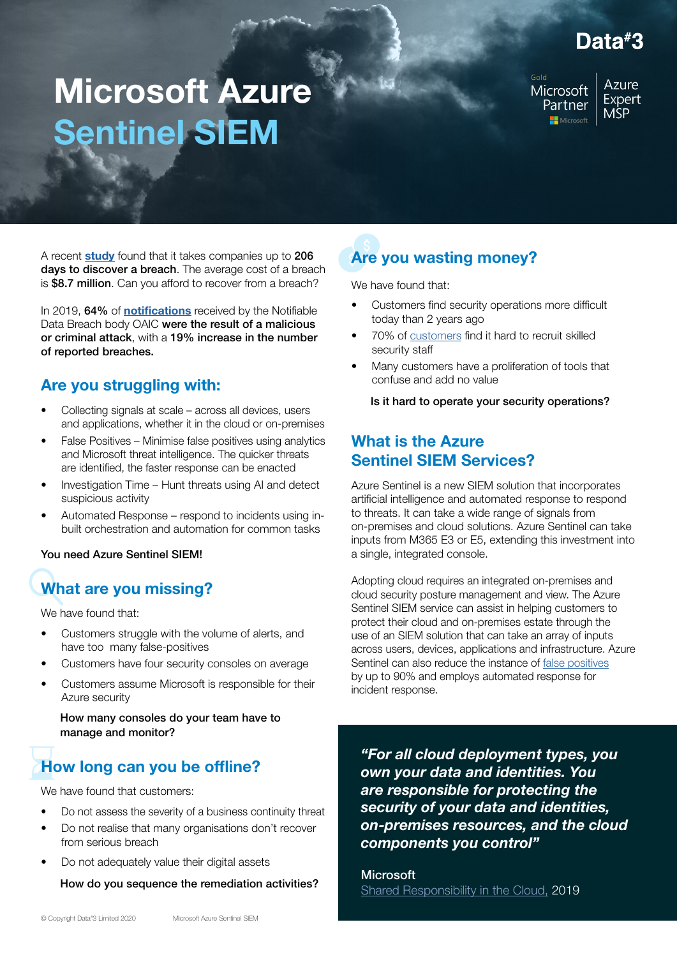# Data#3

# Microsoft Azure Sentinel SIEM

Microsoft Partner Microsoft

**Azure** Expert **MSP** 

A recent [study](https://www.itgovernanceusa.com/blog/how-long-does-it-take-to-detect-a-cyber-attack) found that it takes companies up to 206 days to discover a breach. The average cost of a breach is \$8.7 million. Can you afford to recover from a breach?

In 2019, 64% of **[notifications](https://www.oaic.gov.au/privacy/notifiable-data-breaches/notifiable-data-breaches-statistics/notifiable-data-breaches-report-july-december-2019/)** received by the Notifiable Data Breach body OAIC were the result of a malicious or criminal attack, with a 19% increase in the number of reported breaches.

### Are you struggling with:

- Collecting signals at scale across all devices, users and applications, whether it in the cloud or on-premises
- False Positives Minimise false positives using analytics and Microsoft threat intelligence. The quicker threats are identified, the faster response can be enacted
- Investigation Time Hunt threats using AI and detect suspicious activity
- Automated Response respond to incidents using inbuilt orchestration and automation for common tasks

#### You need Azure Sentinel SIEM!

## What are you missing?

We have found that:

- Customers struggle with the volume of alerts, and have too many false-positives
- Customers have four security consoles on average
- Customers assume Microsoft is responsible for their Azure security

How many consoles do your team have to manage and monitor?

## How long can you be offline?

We have found that customers:

- Do not assess the severity of a business continuity threat
- Do not realise that many organisations don't recover from serious breach
- Do not adequately value their digital assets

How do you sequence the remediation activities?

# Are you wasting money?

We have found that:

- Customers find security operations more difficult today than 2 years ago
- 70% of [customers](https://clouddamcdnprodep.azureedge.net/gdc/gdcYW2go7/original) find it hard to recruit skilled security staff
- Many customers have a proliferation of tools that confuse and add no value

Is it hard to operate your security operations?

#### What is the Azure Sentinel SIEM Services?

Azure Sentinel is a new SIEM solution that incorporates artificial intelligence and automated response to respond to threats. It can take a wide range of signals from on-premises and cloud solutions. Azure Sentinel can take inputs from M365 E3 or E5, extending this investment into a single, integrated console.

Adopting cloud requires an integrated on-premises and cloud security posture management and view. The Azure Sentinel SIEM service can assist in helping customers to protect their cloud and on-premises estate through the use of an SIEM solution that can take an array of inputs across users, devices, applications and infrastructure. Azure Sentinel can also reduce the instance of [false positives](https://clouddamcdnprodep.azureedge.net/gdc/gdcshiFIY/original) by up to 90% and employs automated response for incident response.

*"For all cloud deployment types, you own your data and identities. You are responsible for protecting the security of your data and identities, on-premises resources, and the cloud components you control"*

**Microsoft** [Shared Responsibility in the Cloud,](https://docs.microsoft.com/en-us/azure/security/fundamentals/shared-responsibility) 2019

Microsoft Azure Sentinel SIEM